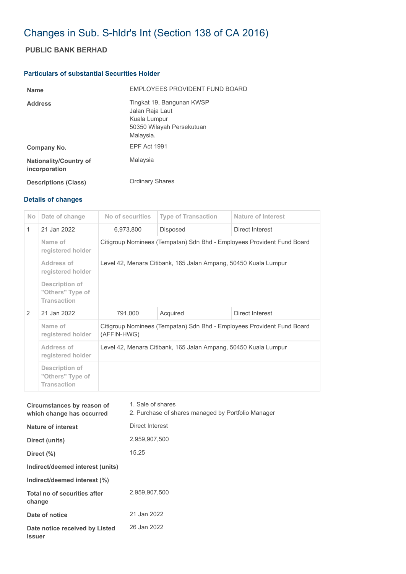## Changes in Sub. S-hldr's Int (Section 138 of CA 2016)

## **PUBLIC BANK BERHAD**

## **Particulars of substantial Securities Holder**

| <b>Name</b>                                    | <b>FMPLOYEES PROVIDENT FUND BOARD</b>                                                                  |
|------------------------------------------------|--------------------------------------------------------------------------------------------------------|
| <b>Address</b>                                 | Tingkat 19, Bangunan KWSP<br>Jalan Raja Laut<br>Kuala Lumpur<br>50350 Wilayah Persekutuan<br>Malaysia. |
| Company No.                                    | <b>EPF Act 1991</b>                                                                                    |
| <b>Nationality/Country of</b><br>incorporation | Malaysia                                                                                               |
| <b>Descriptions (Class)</b>                    | <b>Ordinary Shares</b>                                                                                 |

## **Details of changes**

| <b>No</b>     | Date of change                                                  | No of securities                                                                      | <b>Type of Transaction</b> | Nature of Interest |  |
|---------------|-----------------------------------------------------------------|---------------------------------------------------------------------------------------|----------------------------|--------------------|--|
| $\mathbf{1}$  | 21 Jan 2022                                                     | 6,973,800                                                                             | Disposed                   | Direct Interest    |  |
|               | Name of<br>registered holder                                    | Citigroup Nominees (Tempatan) Sdn Bhd - Employees Provident Fund Board                |                            |                    |  |
|               | Address of<br>registered holder                                 | Level 42, Menara Citibank, 165 Jalan Ampang, 50450 Kuala Lumpur                       |                            |                    |  |
|               | <b>Description of</b><br>"Others" Type of<br><b>Transaction</b> |                                                                                       |                            |                    |  |
| $\mathcal{P}$ | 21 Jan 2022                                                     | 791,000                                                                               | Acquired                   | Direct Interest    |  |
|               | Name of<br>registered holder                                    | Citigroup Nominees (Tempatan) Sdn Bhd - Employees Provident Fund Board<br>(AFFIN-HWG) |                            |                    |  |
|               | Address of<br>registered holder                                 | Level 42, Menara Citibank, 165 Jalan Ampang, 50450 Kuala Lumpur                       |                            |                    |  |
|               | Description of<br>"Others" Type of<br><b>Transaction</b>        |                                                                                       |                            |                    |  |

| Circumstances by reason of<br>which change has occurred | 1. Sale of shares<br>2. Purchase of shares managed by Portfolio Manager |
|---------------------------------------------------------|-------------------------------------------------------------------------|
| Nature of interest                                      | Direct Interest                                                         |
| Direct (units)                                          | 2,959,907,500                                                           |
| Direct $(\% )$                                          | 15.25                                                                   |
| Indirect/deemed interest (units)                        |                                                                         |
| Indirect/deemed interest (%)                            |                                                                         |
| Total no of securities after<br>change                  | 2.959.907.500                                                           |
| Date of notice                                          | 21 Jan 2022                                                             |
| Date notice received by Listed<br><b>Issuer</b>         | 26 Jan 2022                                                             |